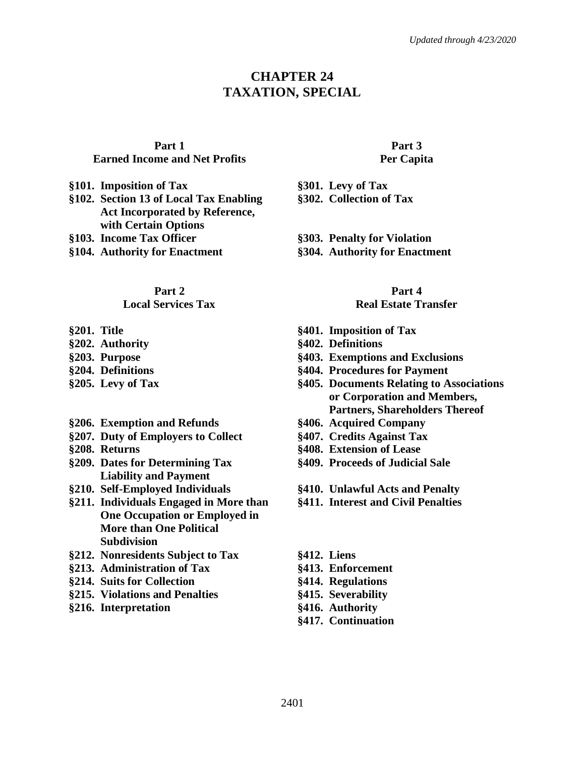# **CHAPTER 24 TAXATION, SPECIAL**

#### **Part 1**

#### **Earned Income and Net Profits**

- **§101. Imposition of Tax §301. Levy of Tax**
- **§102. Section 13 of Local Tax Enabling Act Incorporated by Reference, with Certain Options**
- 
- **§104. Authority for Enactment §304. Authority for Enactment**

#### **Part 2**

#### **Local Services Tax**

- 
- 
- 
- 
- 
- **§206. Exemption and Refunds §406. Acquired Company**
- **§207. Duty of Employers to Collect §407. Credits Against Tax**
- 
- **§209. Dates for Determining Tax Liability and Payment**
- 
- **§211. Individuals Engaged in More than One Occupation or Employed in More than One Political Subdivision**
- **§212. Nonresidents Subject to Tax §412. Liens**
- **§213. Administration of Tax §413. Enforcement**
- **§214. Suits for Collection §414. Regulations**
- **§215. Violations and Penalties §415. Severability**
- **§216. Interpretation §416. Authority**

#### **Part 3 Per Capita**

- **§302. Collection of Tax**
- **§103. Income Tax Officer §303. Penalty for Violation**
	-

#### **Part 4**

#### **Real Estate Transfer**

- **§201. Title §401. Imposition of Tax**
- **§202. Authority §402. Definitions**
- **§203. Purpose §403. Exemptions and Exclusions**
- **§204. Definitions §404. Procedures for Payment**
- **§205. Levy of Tax §405. Documents Relating to Associations or Corporation and Members, Partners, Shareholders Thereof**
	-
	-
- **§208. Returns §408. Extension of Lease**
	- **§409. Proceeds of Judicial Sale**
- **§210. Self-Employed Individuals §410. Unlawful Acts and Penalty**
	- **§411. Interest and Civil Penalties**
	-
	-
	-
	-
	-
	- **§417. Continuation**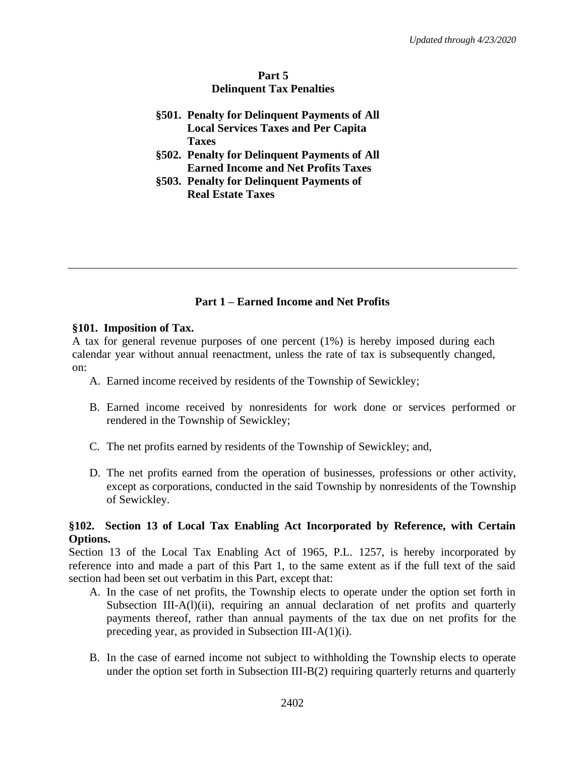## **Part 5 Delinquent Tax Penalties**

- **§501. Penalty for Delinquent Payments of All Local Services Taxes and Per Capita Taxes**
- **§502. Penalty for Delinquent Payments of All Earned Income and Net Profits Taxes**
- **§503. Penalty for Delinquent Payments of Real Estate Taxes**

# **Part 1 – Earned Income and Net Profits**

### **§101. Imposition of Tax.**

A tax for general revenue purposes of one percent (1%) is hereby imposed during each calendar year without annual reenactment, unless the rate of tax is subsequently changed, on:

- A. Earned income received by residents of the Township of Sewickley;
- B. Earned income received by nonresidents for work done or services performed or rendered in the Township of Sewickley;
- C. The net profits earned by residents of the Township of Sewickley; and,
- D. The net profits earned from the operation of businesses, professions or other activity, except as corporations, conducted in the said Township by nonresidents of the Township of Sewickley.

# **§102. Section 13 of Local Tax Enabling Act Incorporated by Reference, with Certain Options.**

Section 13 of the Local Tax Enabling Act of 1965, P.L. 1257, is hereby incorporated by reference into and made a part of this Part 1, to the same extent as if the full text of the said section had been set out verbatim in this Part, except that:

- A. In the case of net profits, the Township elects to operate under the option set forth in Subsection III-A(1)(ii), requiring an annual declaration of net profits and quarterly payments thereof, rather than annual payments of the tax due on net profits for the preceding year, as provided in Subsection III-A(1)(i).
- B. In the case of earned income not subject to withholding the Township elects to operate under the option set forth in Subsection III-B(2) requiring quarterly returns and quarterly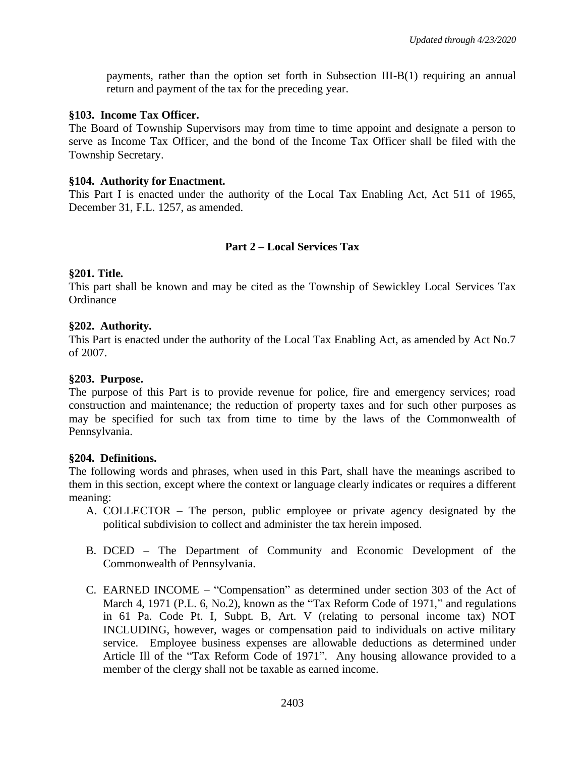payments, rather than the option set forth in Subsection III-B(1) requiring an annual return and payment of the tax for the preceding year.

## **§103. Income Tax Officer.**

The Board of Township Supervisors may from time to time appoint and designate a person to serve as Income Tax Officer, and the bond of the Income Tax Officer shall be filed with the Township Secretary.

## **§104. Authority for Enactment.**

This Part I is enacted under the authority of the Local Tax Enabling Act, Act 511 of 1965, December 31, F.L. 1257, as amended.

# **Part 2 – Local Services Tax**

## **§201. Title.**

This part shall be known and may be cited as the Township of Sewickley Local Services Tax **Ordinance** 

## **§202. Authority.**

This Part is enacted under the authority of the Local Tax Enabling Act, as amended by Act No.7 of 2007.

## **§203. Purpose.**

The purpose of this Part is to provide revenue for police, fire and emergency services; road construction and maintenance; the reduction of property taxes and for such other purposes as may be specified for such tax from time to time by the laws of the Commonwealth of Pennsylvania.

### **§204. Definitions.**

The following words and phrases, when used in this Part, shall have the meanings ascribed to them in this section, except where the context or language clearly indicates or requires a different meaning:

- A. COLLECTOR The person, public employee or private agency designated by the political subdivision to collect and administer the tax herein imposed.
- B. DCED The Department of Community and Economic Development of the Commonwealth of Pennsylvania.
- C. EARNED INCOME "Compensation" as determined under section 303 of the Act of March 4, 1971 (P.L. 6, No.2), known as the "Tax Reform Code of 1971," and regulations in 61 Pa. Code Pt. I, Subpt. B, Art. V (relating to personal income tax) NOT INCLUDING, however, wages or compensation paid to individuals on active military service. Employee business expenses are allowable deductions as determined under Article Ill of the "Tax Reform Code of 1971". Any housing allowance provided to a member of the clergy shall not be taxable as earned income.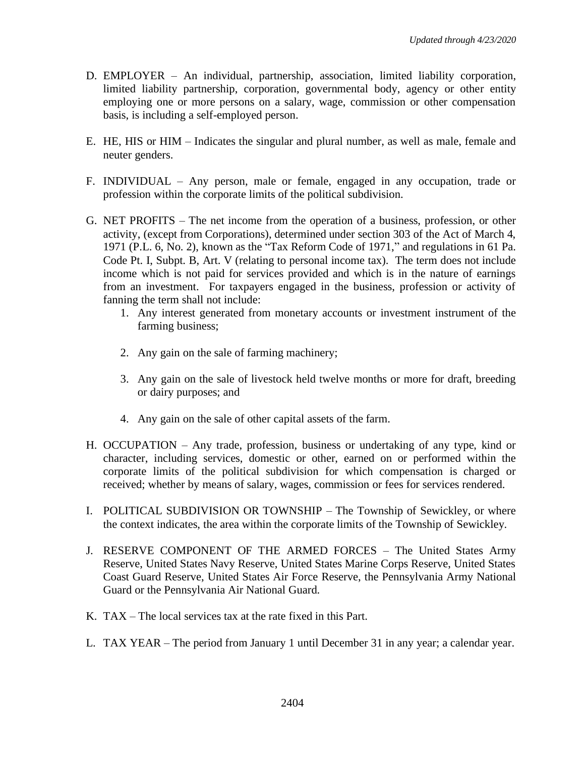- D. EMPLOYER An individual, partnership, association, limited liability corporation, limited liability partnership, corporation, governmental body, agency or other entity employing one or more persons on a salary, wage, commission or other compensation basis, is including a self-employed person.
- E. HE, HIS or HIM Indicates the singular and plural number, as well as male, female and neuter genders.
- F. INDIVIDUAL Any person, male or female, engaged in any occupation, trade or profession within the corporate limits of the political subdivision.
- G. NET PROFITS The net income from the operation of a business, profession, or other activity, (except from Corporations), determined under section 303 of the Act of March 4, 1971 (P.L. 6, No. 2), known as the "Tax Reform Code of 1971," and regulations in 61 Pa. Code Pt. I, Subpt. B, Art. V (relating to personal income tax). The term does not include income which is not paid for services provided and which is in the nature of earnings from an investment. For taxpayers engaged in the business, profession or activity of fanning the term shall not include:
	- 1. Any interest generated from monetary accounts or investment instrument of the farming business;
	- 2. Any gain on the sale of farming machinery;
	- 3. Any gain on the sale of livestock held twelve months or more for draft, breeding or dairy purposes; and
	- 4. Any gain on the sale of other capital assets of the farm.
- H. OCCUPATION Any trade, profession, business or undertaking of any type, kind or character, including services, domestic or other, earned on or performed within the corporate limits of the political subdivision for which compensation is charged or received; whether by means of salary, wages, commission or fees for services rendered.
- I. POLITICAL SUBDIVISION OR TOWNSHIP The Township of Sewickley, or where the context indicates, the area within the corporate limits of the Township of Sewickley.
- J. RESERVE COMPONENT OF THE ARMED FORCES The United States Army Reserve, United States Navy Reserve, United States Marine Corps Reserve, United States Coast Guard Reserve, United States Air Force Reserve, the Pennsylvania Army National Guard or the Pennsylvania Air National Guard.
- K. TAX The local services tax at the rate fixed in this Part.
- L. TAX YEAR The period from January 1 until December 31 in any year; a calendar year.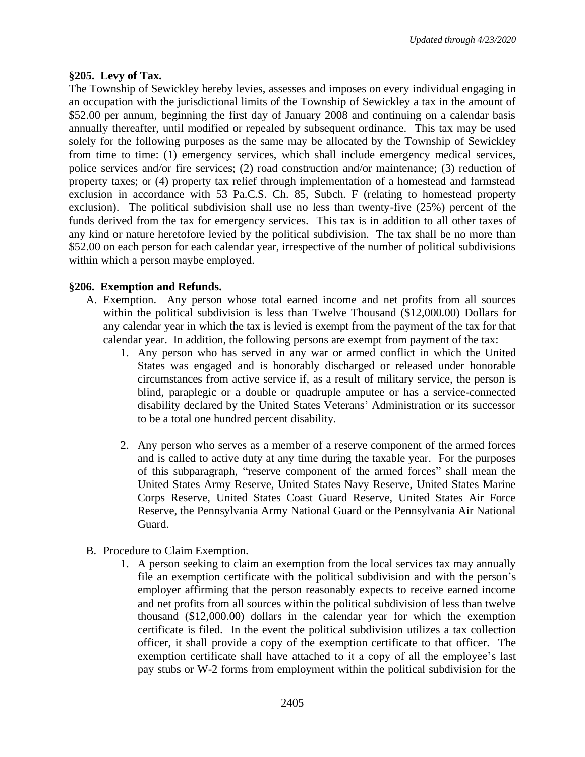## **§205. Levy of Tax.**

The Township of Sewickley hereby levies, assesses and imposes on every individual engaging in an occupation with the jurisdictional limits of the Township of Sewickley a tax in the amount of \$52.00 per annum, beginning the first day of January 2008 and continuing on a calendar basis annually thereafter, until modified or repealed by subsequent ordinance. This tax may be used solely for the following purposes as the same may be allocated by the Township of Sewickley from time to time: (1) emergency services, which shall include emergency medical services, police services and/or fire services; (2) road construction and/or maintenance; (3) reduction of property taxes; or (4) property tax relief through implementation of a homestead and farmstead exclusion in accordance with 53 Pa.C.S. Ch. 85, Subch. F (relating to homestead property exclusion). The political subdivision shall use no less than twenty-five (25%) percent of the funds derived from the tax for emergency services. This tax is in addition to all other taxes of any kind or nature heretofore levied by the political subdivision. The tax shall be no more than \$52.00 on each person for each calendar year, irrespective of the number of political subdivisions within which a person maybe employed.

## **§206. Exemption and Refunds.**

- A. Exemption. Any person whose total earned income and net profits from all sources within the political subdivision is less than Twelve Thousand (\$12,000.00) Dollars for any calendar year in which the tax is levied is exempt from the payment of the tax for that calendar year. In addition, the following persons are exempt from payment of the tax:
	- 1. Any person who has served in any war or armed conflict in which the United States was engaged and is honorably discharged or released under honorable circumstances from active service if, as a result of military service, the person is blind, paraplegic or a double or quadruple amputee or has a service-connected disability declared by the United States Veterans' Administration or its successor to be a total one hundred percent disability.
	- 2. Any person who serves as a member of a reserve component of the armed forces and is called to active duty at any time during the taxable year. For the purposes of this subparagraph, "reserve component of the armed forces" shall mean the United States Army Reserve, United States Navy Reserve, United States Marine Corps Reserve, United States Coast Guard Reserve, United States Air Force Reserve, the Pennsylvania Army National Guard or the Pennsylvania Air National Guard.
- B. Procedure to Claim Exemption.
	- 1. A person seeking to claim an exemption from the local services tax may annually file an exemption certificate with the political subdivision and with the person's employer affirming that the person reasonably expects to receive earned income and net profits from all sources within the political subdivision of less than twelve thousand (\$12,000.00) dollars in the calendar year for which the exemption certificate is filed. In the event the political subdivision utilizes a tax collection officer, it shall provide a copy of the exemption certificate to that officer. The exemption certificate shall have attached to it a copy of all the employee's last pay stubs or W-2 forms from employment within the political subdivision for the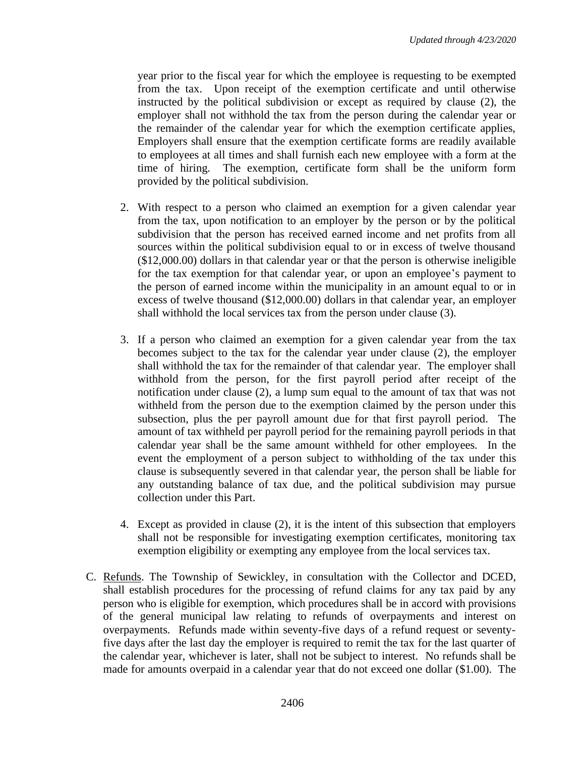year prior to the fiscal year for which the employee is requesting to be exempted from the tax. Upon receipt of the exemption certificate and until otherwise instructed by the political subdivision or except as required by clause (2), the employer shall not withhold the tax from the person during the calendar year or the remainder of the calendar year for which the exemption certificate applies, Employers shall ensure that the exemption certificate forms are readily available to employees at all times and shall furnish each new employee with a form at the time of hiring. The exemption, certificate form shall be the uniform form provided by the political subdivision.

- 2. With respect to a person who claimed an exemption for a given calendar year from the tax, upon notification to an employer by the person or by the political subdivision that the person has received earned income and net profits from all sources within the political subdivision equal to or in excess of twelve thousand (\$12,000.00) dollars in that calendar year or that the person is otherwise ineligible for the tax exemption for that calendar year, or upon an employee's payment to the person of earned income within the municipality in an amount equal to or in excess of twelve thousand (\$12,000.00) dollars in that calendar year, an employer shall withhold the local services tax from the person under clause (3).
- 3. If a person who claimed an exemption for a given calendar year from the tax becomes subject to the tax for the calendar year under clause (2), the employer shall withhold the tax for the remainder of that calendar year. The employer shall withhold from the person, for the first payroll period after receipt of the notification under clause (2), a lump sum equal to the amount of tax that was not withheld from the person due to the exemption claimed by the person under this subsection, plus the per payroll amount due for that first payroll period. The amount of tax withheld per payroll period for the remaining payroll periods in that calendar year shall be the same amount withheld for other employees. In the event the employment of a person subject to withholding of the tax under this clause is subsequently severed in that calendar year, the person shall be liable for any outstanding balance of tax due, and the political subdivision may pursue collection under this Part.
- 4. Except as provided in clause (2), it is the intent of this subsection that employers shall not be responsible for investigating exemption certificates, monitoring tax exemption eligibility or exempting any employee from the local services tax.
- C. Refunds. The Township of Sewickley, in consultation with the Collector and DCED, shall establish procedures for the processing of refund claims for any tax paid by any person who is eligible for exemption, which procedures shall be in accord with provisions of the general municipal law relating to refunds of overpayments and interest on overpayments. Refunds made within seventy-five days of a refund request or seventyfive days after the last day the employer is required to remit the tax for the last quarter of the calendar year, whichever is later, shall not be subject to interest. No refunds shall be made for amounts overpaid in a calendar year that do not exceed one dollar (\$1.00). The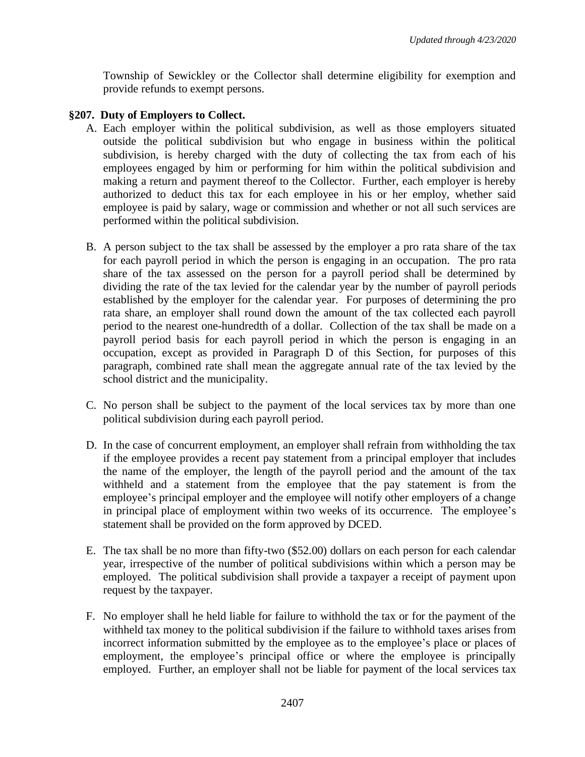Township of Sewickley or the Collector shall determine eligibility for exemption and provide refunds to exempt persons.

## **§207. Duty of Employers to Collect.**

- A. Each employer within the political subdivision, as well as those employers situated outside the political subdivision but who engage in business within the political subdivision, is hereby charged with the duty of collecting the tax from each of his employees engaged by him or performing for him within the political subdivision and making a return and payment thereof to the Collector. Further, each employer is hereby authorized to deduct this tax for each employee in his or her employ, whether said employee is paid by salary, wage or commission and whether or not all such services are performed within the political subdivision.
- B. A person subject to the tax shall be assessed by the employer a pro rata share of the tax for each payroll period in which the person is engaging in an occupation. The pro rata share of the tax assessed on the person for a payroll period shall be determined by dividing the rate of the tax levied for the calendar year by the number of payroll periods established by the employer for the calendar year. For purposes of determining the pro rata share, an employer shall round down the amount of the tax collected each payroll period to the nearest one-hundredth of a dollar. Collection of the tax shall be made on a payroll period basis for each payroll period in which the person is engaging in an occupation, except as provided in Paragraph D of this Section, for purposes of this paragraph, combined rate shall mean the aggregate annual rate of the tax levied by the school district and the municipality.
- C. No person shall be subject to the payment of the local services tax by more than one political subdivision during each payroll period.
- D. In the case of concurrent employment, an employer shall refrain from withholding the tax if the employee provides a recent pay statement from a principal employer that includes the name of the employer, the length of the payroll period and the amount of the tax withheld and a statement from the employee that the pay statement is from the employee's principal employer and the employee will notify other employers of a change in principal place of employment within two weeks of its occurrence. The employee's statement shall be provided on the form approved by DCED.
- E. The tax shall be no more than fifty-two (\$52.00) dollars on each person for each calendar year, irrespective of the number of political subdivisions within which a person may be employed. The political subdivision shall provide a taxpayer a receipt of payment upon request by the taxpayer.
- F. No employer shall he held liable for failure to withhold the tax or for the payment of the withheld tax money to the political subdivision if the failure to withhold taxes arises from incorrect information submitted by the employee as to the employee's place or places of employment, the employee's principal office or where the employee is principally employed. Further, an employer shall not be liable for payment of the local services tax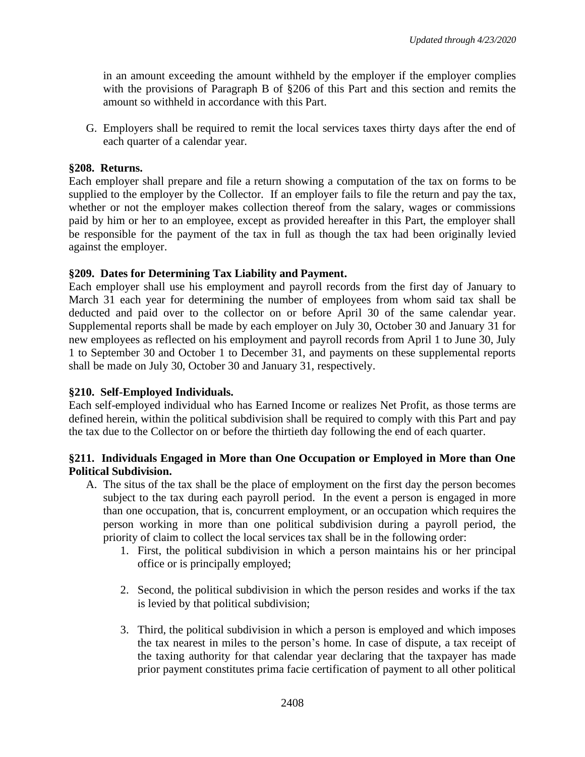in an amount exceeding the amount withheld by the employer if the employer complies with the provisions of Paragraph B of §206 of this Part and this section and remits the amount so withheld in accordance with this Part.

G. Employers shall be required to remit the local services taxes thirty days after the end of each quarter of a calendar year.

# **§208. Returns.**

Each employer shall prepare and file a return showing a computation of the tax on forms to be supplied to the employer by the Collector. If an employer fails to file the return and pay the tax, whether or not the employer makes collection thereof from the salary, wages or commissions paid by him or her to an employee, except as provided hereafter in this Part, the employer shall be responsible for the payment of the tax in full as though the tax had been originally levied against the employer.

# **§209. Dates for Determining Tax Liability and Payment.**

Each employer shall use his employment and payroll records from the first day of January to March 31 each year for determining the number of employees from whom said tax shall be deducted and paid over to the collector on or before April 30 of the same calendar year. Supplemental reports shall be made by each employer on July 30, October 30 and January 31 for new employees as reflected on his employment and payroll records from April 1 to June 30, July 1 to September 30 and October 1 to December 31, and payments on these supplemental reports shall be made on July 30, October 30 and January 31, respectively.

# **§210. Self-Employed Individuals.**

Each self-employed individual who has Earned Income or realizes Net Profit, as those terms are defined herein, within the political subdivision shall be required to comply with this Part and pay the tax due to the Collector on or before the thirtieth day following the end of each quarter.

# **§211. Individuals Engaged in More than One Occupation or Employed in More than One Political Subdivision.**

- A. The situs of the tax shall be the place of employment on the first day the person becomes subject to the tax during each payroll period. In the event a person is engaged in more than one occupation, that is, concurrent employment, or an occupation which requires the person working in more than one political subdivision during a payroll period, the priority of claim to collect the local services tax shall be in the following order:
	- 1. First, the political subdivision in which a person maintains his or her principal office or is principally employed;
	- 2. Second, the political subdivision in which the person resides and works if the tax is levied by that political subdivision;
	- 3. Third, the political subdivision in which a person is employed and which imposes the tax nearest in miles to the person's home. In case of dispute, a tax receipt of the taxing authority for that calendar year declaring that the taxpayer has made prior payment constitutes prima facie certification of payment to all other political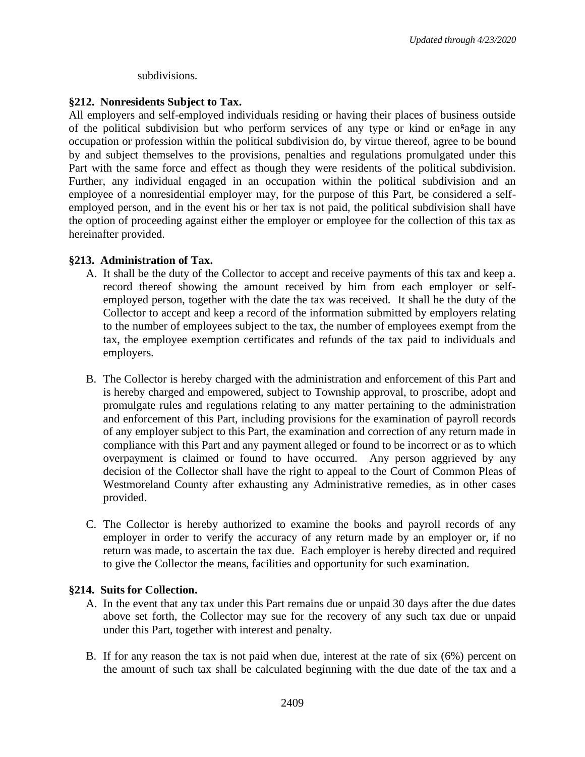## subdivisions.

# **§212. Nonresidents Subject to Tax.**

All employers and self-employed individuals residing or having their places of business outside of the political subdivision but who perform services of any type or kind or en<sup>g</sup>age in any occupation or profession within the political subdivision do, by virtue thereof, agree to be bound by and subject themselves to the provisions, penalties and regulations promulgated under this Part with the same force and effect as though they were residents of the political subdivision. Further, any individual engaged in an occupation within the political subdivision and an employee of a nonresidential employer may, for the purpose of this Part, be considered a selfemployed person, and in the event his or her tax is not paid, the political subdivision shall have the option of proceeding against either the employer or employee for the collection of this tax as hereinafter provided.

# **§213. Administration of Tax.**

- A. It shall be the duty of the Collector to accept and receive payments of this tax and keep a. record thereof showing the amount received by him from each employer or selfemployed person, together with the date the tax was received. It shall he the duty of the Collector to accept and keep a record of the information submitted by employers relating to the number of employees subject to the tax, the number of employees exempt from the tax, the employee exemption certificates and refunds of the tax paid to individuals and employers.
- B. The Collector is hereby charged with the administration and enforcement of this Part and is hereby charged and empowered, subject to Township approval, to proscribe, adopt and promulgate rules and regulations relating to any matter pertaining to the administration and enforcement of this Part, including provisions for the examination of payroll records of any employer subject to this Part, the examination and correction of any return made in compliance with this Part and any payment alleged or found to be incorrect or as to which overpayment is claimed or found to have occurred. Any person aggrieved by any decision of the Collector shall have the right to appeal to the Court of Common Pleas of Westmoreland County after exhausting any Administrative remedies, as in other cases provided.
- C. The Collector is hereby authorized to examine the books and payroll records of any employer in order to verify the accuracy of any return made by an employer or, if no return was made, to ascertain the tax due. Each employer is hereby directed and required to give the Collector the means, facilities and opportunity for such examination.

# **§214. Suits for Collection.**

- A. In the event that any tax under this Part remains due or unpaid 30 days after the due dates above set forth, the Collector may sue for the recovery of any such tax due or unpaid under this Part, together with interest and penalty.
- B. If for any reason the tax is not paid when due, interest at the rate of six (6%) percent on the amount of such tax shall be calculated beginning with the due date of the tax and a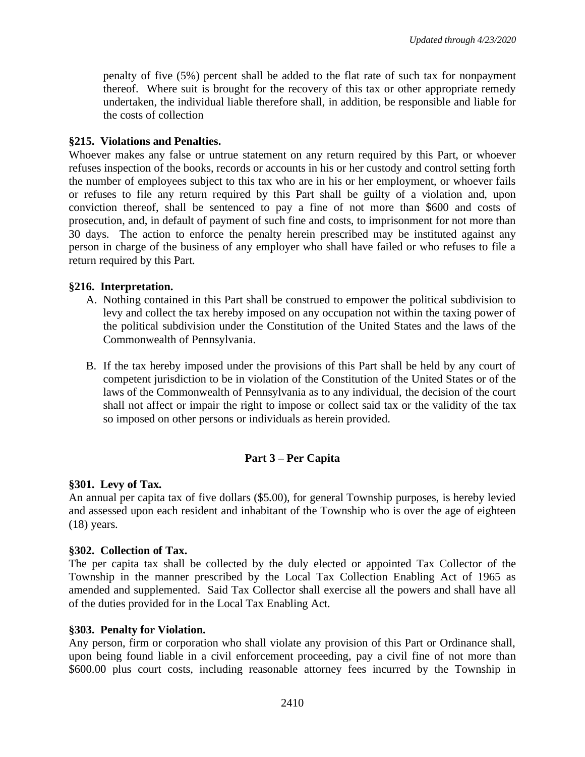penalty of five (5%) percent shall be added to the flat rate of such tax for nonpayment thereof. Where suit is brought for the recovery of this tax or other appropriate remedy undertaken, the individual liable therefore shall, in addition, be responsible and liable for the costs of collection

## **§215. Violations and Penalties.**

Whoever makes any false or untrue statement on any return required by this Part, or whoever refuses inspection of the books, records or accounts in his or her custody and control setting forth the number of employees subject to this tax who are in his or her employment, or whoever fails or refuses to file any return required by this Part shall be guilty of a violation and, upon conviction thereof, shall be sentenced to pay a fine of not more than \$600 and costs of prosecution, and, in default of payment of such fine and costs, to imprisonment for not more than 30 days. The action to enforce the penalty herein prescribed may be instituted against any person in charge of the business of any employer who shall have failed or who refuses to file a return required by this Part.

## **§216. Interpretation.**

- A. Nothing contained in this Part shall be construed to empower the political subdivision to levy and collect the tax hereby imposed on any occupation not within the taxing power of the political subdivision under the Constitution of the United States and the laws of the Commonwealth of Pennsylvania.
- B. If the tax hereby imposed under the provisions of this Part shall be held by any court of competent jurisdiction to be in violation of the Constitution of the United States or of the laws of the Commonwealth of Pennsylvania as to any individual, the decision of the court shall not affect or impair the right to impose or collect said tax or the validity of the tax so imposed on other persons or individuals as herein provided.

# **Part 3 – Per Capita**

# **§301. Levy of Tax.**

An annual per capita tax of five dollars (\$5.00), for general Township purposes, is hereby levied and assessed upon each resident and inhabitant of the Township who is over the age of eighteen (18) years.

### **§302. Collection of Tax.**

The per capita tax shall be collected by the duly elected or appointed Tax Collector of the Township in the manner prescribed by the Local Tax Collection Enabling Act of 1965 as amended and supplemented. Said Tax Collector shall exercise all the powers and shall have all of the duties provided for in the Local Tax Enabling Act.

### **§303. Penalty for Violation.**

Any person, firm or corporation who shall violate any provision of this Part or Ordinance shall, upon being found liable in a civil enforcement proceeding, pay a civil fine of not more than \$600.00 plus court costs, including reasonable attorney fees incurred by the Township in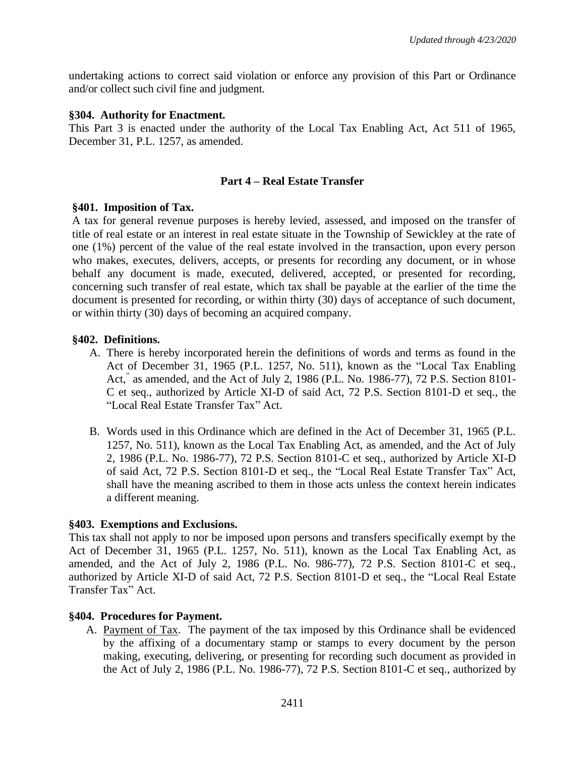undertaking actions to correct said violation or enforce any provision of this Part or Ordinance and/or collect such civil fine and judgment.

#### **§304. Authority for Enactment.**

This Part 3 is enacted under the authority of the Local Tax Enabling Act, Act 511 of 1965, December 31, P.L. 1257, as amended.

## **Part 4 – Real Estate Transfer**

#### **§401. Imposition of Tax.**

A tax for general revenue purposes is hereby levied, assessed, and imposed on the transfer of title of real estate or an interest in real estate situate in the Township of Sewickley at the rate of one (1%) percent of the value of the real estate involved in the transaction, upon every person who makes, executes, delivers, accepts, or presents for recording any document, or in whose behalf any document is made, executed, delivered, accepted, or presented for recording, concerning such transfer of real estate, which tax shall be payable at the earlier of the time the document is presented for recording, or within thirty (30) days of acceptance of such document, or within thirty (30) days of becoming an acquired company.

### **§402. Definitions.**

- A. There is hereby incorporated herein the definitions of words and terms as found in the Act of December 31, 1965 (P.L. 1257, No. 511), known as the "Local Tax Enabling Act," as amended, and the Act of July 2, 1986 (P.L. No. 1986-77), 72 P.S. Section 8101- C et seq., authorized by Article XI-D of said Act, 72 P.S. Section 8101-D et seq., the "Local Real Estate Transfer Tax" Act.
- B. Words used in this Ordinance which are defined in the Act of December 31, 1965 (P.L. 1257, No. 511), known as the Local Tax Enabling Act, as amended, and the Act of July 2, 1986 (P.L. No. 1986-77), 72 P.S. Section 8101-C et seq., authorized by Article XI-D of said Act, 72 P.S. Section 8101-D et seq., the "Local Real Estate Transfer Tax" Act, shall have the meaning ascribed to them in those acts unless the context herein indicates a different meaning.

### **§403. Exemptions and Exclusions.**

This tax shall not apply to nor be imposed upon persons and transfers specifically exempt by the Act of December 31, 1965 (P.L. 1257, No. 511), known as the Local Tax Enabling Act, as amended, and the Act of July 2, 1986 (P.L. No. 986-77), 72 P.S. Section 8101-C et seq., authorized by Article XI-D of said Act, 72 P.S. Section 8101-D et seq., the "Local Real Estate Transfer Tax" Act.

#### **§404. Procedures for Payment.**

A. Payment of Tax. The payment of the tax imposed by this Ordinance shall be evidenced by the affixing of a documentary stamp or stamps to every document by the person making, executing, delivering, or presenting for recording such document as provided in the Act of July 2, 1986 (P.L. No. 1986-77), 72 P.S. Section 8101-C et seq., authorized by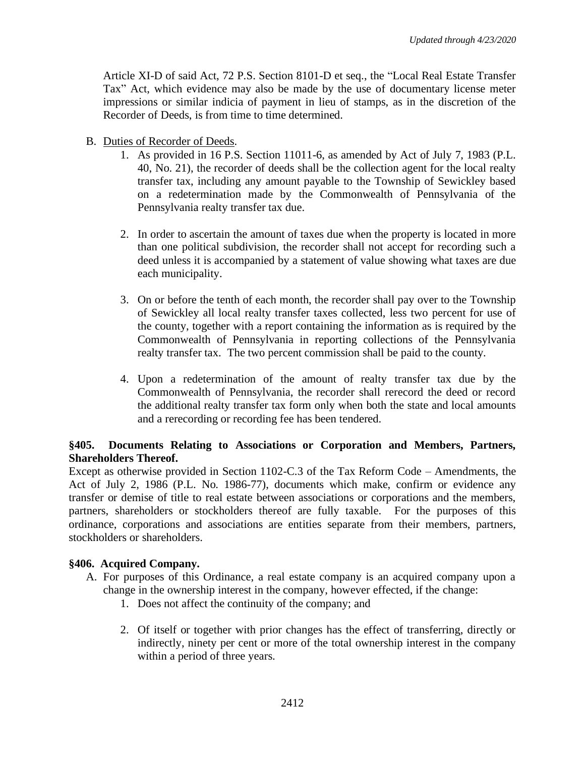Article XI-D of said Act, 72 P.S. Section 8101-D et seq., the "Local Real Estate Transfer Tax" Act, which evidence may also be made by the use of documentary license meter impressions or similar indicia of payment in lieu of stamps, as in the discretion of the Recorder of Deeds, is from time to time determined.

- B. Duties of Recorder of Deeds.
	- 1. As provided in 16 P.S. Section 11011-6, as amended by Act of July 7, 1983 (P.L. 40, No. 21), the recorder of deeds shall be the collection agent for the local realty transfer tax, including any amount payable to the Township of Sewickley based on a redetermination made by the Commonwealth of Pennsylvania of the Pennsylvania realty transfer tax due.
	- 2. In order to ascertain the amount of taxes due when the property is located in more than one political subdivision, the recorder shall not accept for recording such a deed unless it is accompanied by a statement of value showing what taxes are due each municipality.
	- 3. On or before the tenth of each month, the recorder shall pay over to the Township of Sewickley all local realty transfer taxes collected, less two percent for use of the county, together with a report containing the information as is required by the Commonwealth of Pennsylvania in reporting collections of the Pennsylvania realty transfer tax. The two percent commission shall be paid to the county.
	- 4. Upon a redetermination of the amount of realty transfer tax due by the Commonwealth of Pennsylvania, the recorder shall rerecord the deed or record the additional realty transfer tax form only when both the state and local amounts and a rerecording or recording fee has been tendered.

# **§405. Documents Relating to Associations or Corporation and Members, Partners, Shareholders Thereof.**

Except as otherwise provided in Section 1102-C.3 of the Tax Reform Code – Amendments, the Act of July 2, 1986 (P.L. No. 1986-77), documents which make, confirm or evidence any transfer or demise of title to real estate between associations or corporations and the members, partners, shareholders or stockholders thereof are fully taxable. For the purposes of this ordinance, corporations and associations are entities separate from their members, partners, stockholders or shareholders.

# **§406. Acquired Company.**

- A. For purposes of this Ordinance, a real estate company is an acquired company upon a change in the ownership interest in the company, however effected, if the change:
	- 1. Does not affect the continuity of the company; and
	- 2. Of itself or together with prior changes has the effect of transferring, directly or indirectly, ninety per cent or more of the total ownership interest in the company within a period of three years.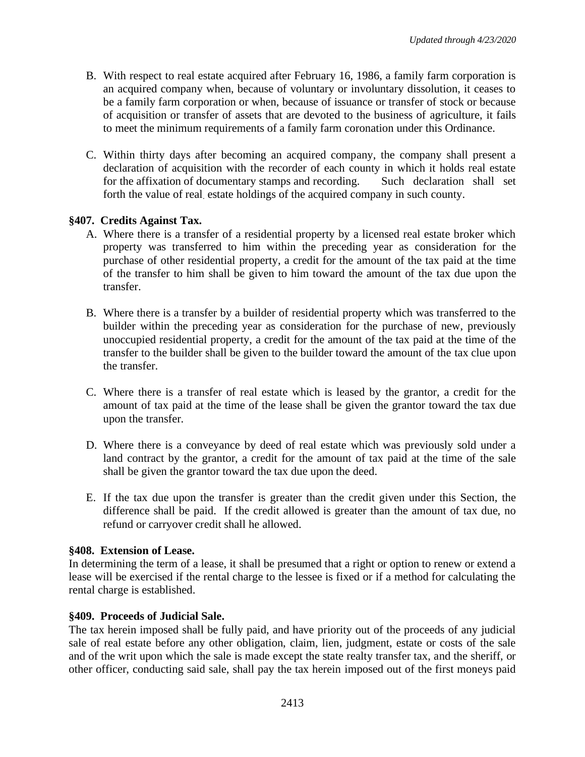- B. With respect to real estate acquired after February 16, 1986, a family farm corporation is an acquired company when, because of voluntary or involuntary dissolution, it ceases to be a family farm corporation or when, because of issuance or transfer of stock or because of acquisition or transfer of assets that are devoted to the business of agriculture, it fails to meet the minimum requirements of a family farm coronation under this Ordinance.
- C. Within thirty days after becoming an acquired company, the company shall present a declaration of acquisition with the recorder of each county in which it holds real estate for the affixation of documentary stamps and recording. Such declaration shall set forth the value of real. estate holdings of the acquired company in such county.

# **§407. Credits Against Tax.**

- A. Where there is a transfer of a residential property by a licensed real estate broker which property was transferred to him within the preceding year as consideration for the purchase of other residential property, a credit for the amount of the tax paid at the time of the transfer to him shall be given to him toward the amount of the tax due upon the transfer.
- B. Where there is a transfer by a builder of residential property which was transferred to the builder within the preceding year as consideration for the purchase of new, previously unoccupied residential property, a credit for the amount of the tax paid at the time of the transfer to the builder shall be given to the builder toward the amount of the tax clue upon the transfer.
- C. Where there is a transfer of real estate which is leased by the grantor, a credit for the amount of tax paid at the time of the lease shall be given the grantor toward the tax due upon the transfer.
- D. Where there is a conveyance by deed of real estate which was previously sold under a land contract by the grantor, a credit for the amount of tax paid at the time of the sale shall be given the grantor toward the tax due upon the deed.
- E. If the tax due upon the transfer is greater than the credit given under this Section, the difference shall be paid. If the credit allowed is greater than the amount of tax due, no refund or carryover credit shall he allowed.

# **§408. Extension of Lease.**

In determining the term of a lease, it shall be presumed that a right or option to renew or extend a lease will be exercised if the rental charge to the lessee is fixed or if a method for calculating the rental charge is established.

# **§409. Proceeds of Judicial Sale.**

The tax herein imposed shall be fully paid, and have priority out of the proceeds of any judicial sale of real estate before any other obligation, claim, lien, judgment, estate or costs of the sale and of the writ upon which the sale is made except the state realty transfer tax, and the sheriff, or other officer, conducting said sale, shall pay the tax herein imposed out of the first moneys paid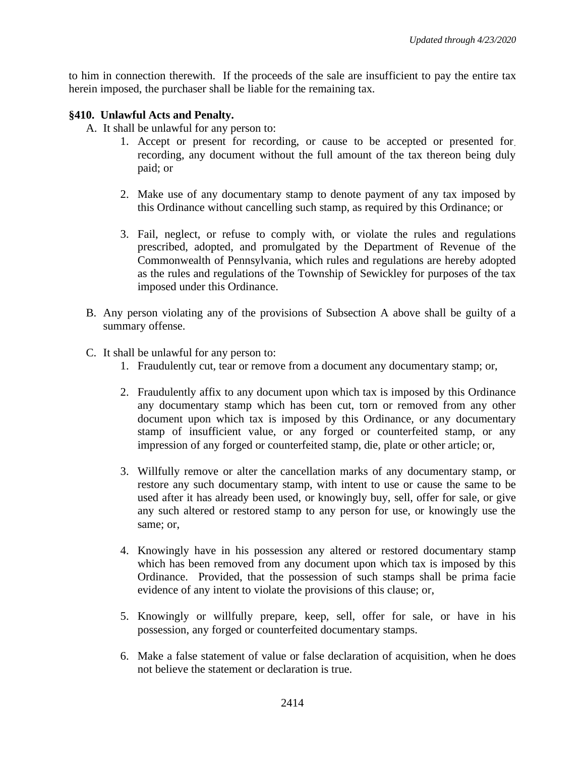to him in connection therewith. If the proceeds of the sale are insufficient to pay the entire tax herein imposed, the purchaser shall be liable for the remaining tax.

## **§410. Unlawful Acts and Penalty.**

- A. It shall be unlawful for any person to:
	- 1. Accept or present for recording, or cause to be accepted or presented for. recording, any document without the full amount of the tax thereon being duly paid; or
	- 2. Make use of any documentary stamp to denote payment of any tax imposed by this Ordinance without cancelling such stamp, as required by this Ordinance; or
	- 3. Fail, neglect, or refuse to comply with, or violate the rules and regulations prescribed, adopted, and promulgated by the Department of Revenue of the Commonwealth of Pennsylvania, which rules and regulations are hereby adopted as the rules and regulations of the Township of Sewickley for purposes of the tax imposed under this Ordinance.
- B. Any person violating any of the provisions of Subsection A above shall be guilty of a summary offense.
- C. It shall be unlawful for any person to:
	- 1. Fraudulently cut, tear or remove from a document any documentary stamp; or,
	- 2. Fraudulently affix to any document upon which tax is imposed by this Ordinance any documentary stamp which has been cut, torn or removed from any other document upon which tax is imposed by this Ordinance, or any documentary stamp of insufficient value, or any forged or counterfeited stamp, or any impression of any forged or counterfeited stamp, die, plate or other article; or,
	- 3. Willfully remove or alter the cancellation marks of any documentary stamp, or restore any such documentary stamp, with intent to use or cause the same to be used after it has already been used, or knowingly buy, sell, offer for sale, or give any such altered or restored stamp to any person for use, or knowingly use the same; or,
	- 4. Knowingly have in his possession any altered or restored documentary stamp which has been removed from any document upon which tax is imposed by this Ordinance. Provided, that the possession of such stamps shall be prima facie evidence of any intent to violate the provisions of this clause; or,
	- 5. Knowingly or willfully prepare, keep, sell, offer for sale, or have in his possession, any forged or counterfeited documentary stamps.
	- 6. Make a false statement of value or false declaration of acquisition, when he does not believe the statement or declaration is true.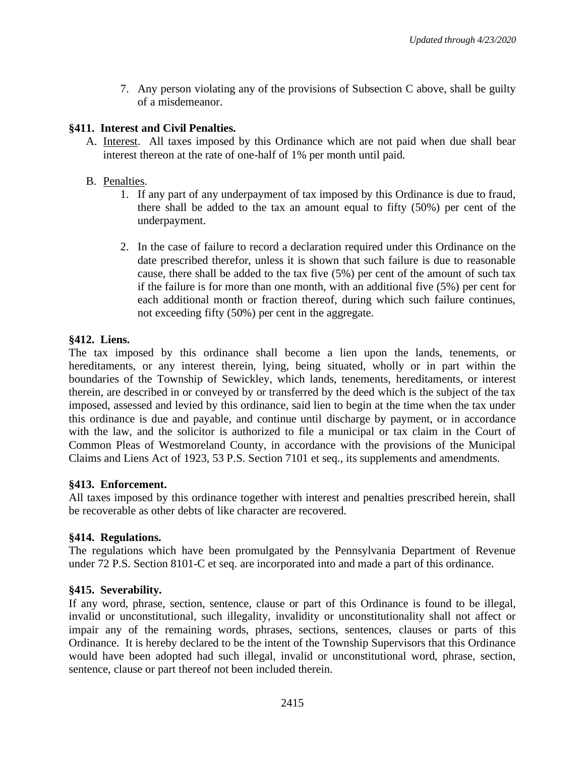7. Any person violating any of the provisions of Subsection C above, shall be guilty of a misdemeanor.

# **§411. Interest and Civil Penalties.**

- A. Interest. All taxes imposed by this Ordinance which are not paid when due shall bear interest thereon at the rate of one-half of 1% per month until paid.
- B. Penalties.
	- 1. If any part of any underpayment of tax imposed by this Ordinance is due to fraud, there shall be added to the tax an amount equal to fifty (50%) per cent of the underpayment.
	- 2. In the case of failure to record a declaration required under this Ordinance on the date prescribed therefor, unless it is shown that such failure is due to reasonable cause, there shall be added to the tax five (5%) per cent of the amount of such tax if the failure is for more than one month, with an additional five (5%) per cent for each additional month or fraction thereof, during which such failure continues, not exceeding fifty (50%) per cent in the aggregate.

# **§412. Liens.**

The tax imposed by this ordinance shall become a lien upon the lands, tenements, or hereditaments, or any interest therein, lying, being situated, wholly or in part within the boundaries of the Township of Sewickley, which lands, tenements, hereditaments, or interest therein, are described in or conveyed by or transferred by the deed which is the subject of the tax imposed, assessed and levied by this ordinance, said lien to begin at the time when the tax under this ordinance is due and payable, and continue until discharge by payment, or in accordance with the law, and the solicitor is authorized to file a municipal or tax claim in the Court of Common Pleas of Westmoreland County, in accordance with the provisions of the Municipal Claims and Liens Act of 1923, 53 P.S. Section 7101 et seq., its supplements and amendments.

# **§413. Enforcement.**

All taxes imposed by this ordinance together with interest and penalties prescribed herein, shall be recoverable as other debts of like character are recovered.

# **§414. Regulations.**

The regulations which have been promulgated by the Pennsylvania Department of Revenue under 72 P.S. Section 8101-C et seq. are incorporated into and made a part of this ordinance.

# **§415. Severability.**

If any word, phrase, section, sentence, clause or part of this Ordinance is found to be illegal, invalid or unconstitutional, such illegality, invalidity or unconstitutionality shall not affect or impair any of the remaining words, phrases, sections, sentences, clauses or parts of this Ordinance. It is hereby declared to be the intent of the Township Supervisors that this Ordinance would have been adopted had such illegal, invalid or unconstitutional word, phrase, section, sentence, clause or part thereof not been included therein.